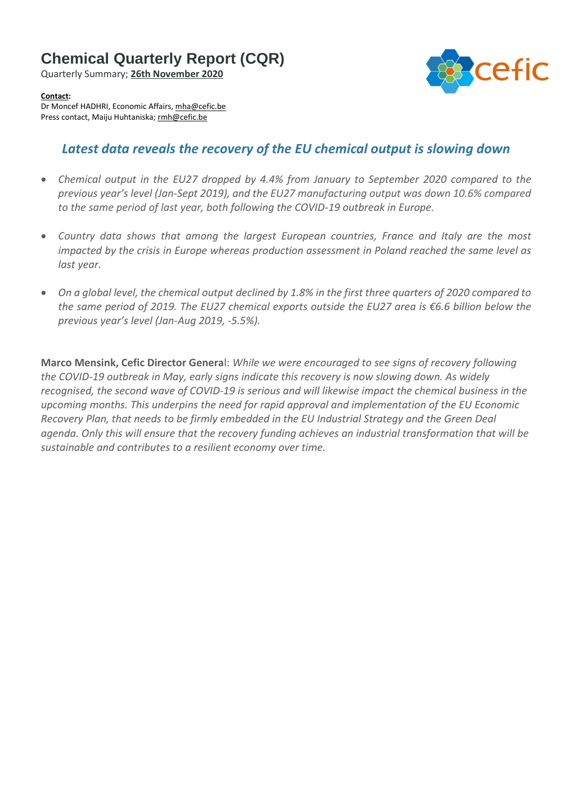# **Chemical Quarterly Report (CQR)**

Quarterly Summary; **26th November 2020**



#### **Contact:**

Dr Moncef HADHRI, Economic Affairs, [mha@cefic.be](mailto:mha@cefic.be) Press contact, Maiju Huhtaniska; [rmh@cefic.be](mailto:rmh@cefic.be)

# *Latest data reveals the recovery of the EU chemical output is slowing down*

- *Chemical output in the EU27 dropped by 4.4% from January to September 2020 compared to the previous year's level (Jan-Sept 2019), and the EU27 manufacturing output was down 10.6% compared to the same period of last year, both following the COVID-19 outbreak in Europe.*
- *Country data shows that among the largest European countries, France and Italy are the most impacted by the crisis in Europe whereas production assessment in Poland reached the same level as last year.*
- On a global level, the chemical output declined by 1.8% in the first three quarters of 2020 compared to *the same period of 2019. The EU27 chemical exports outside the EU27 area is €6.6 billion below the previous year's level (Jan-Aug 2019, -5.5%).*

**Marco Mensink, Cefic Director Genera**l: *While we were encouraged to see signs of recovery following the COVID-19 outbreak in May, early signs indicate this recovery is now slowing down. As widely recognised, the second wave of COVID-19 is serious and will likewise impact the chemical business in the upcoming months. This underpins the need for rapid approval and implementation of the EU Economic Recovery Plan, that needs to be firmly embedded in the EU Industrial Strategy and the Green Deal agenda. Only this will ensure that the recovery funding achieves an industrial transformation that will be sustainable and contributes to a resilient economy over time.*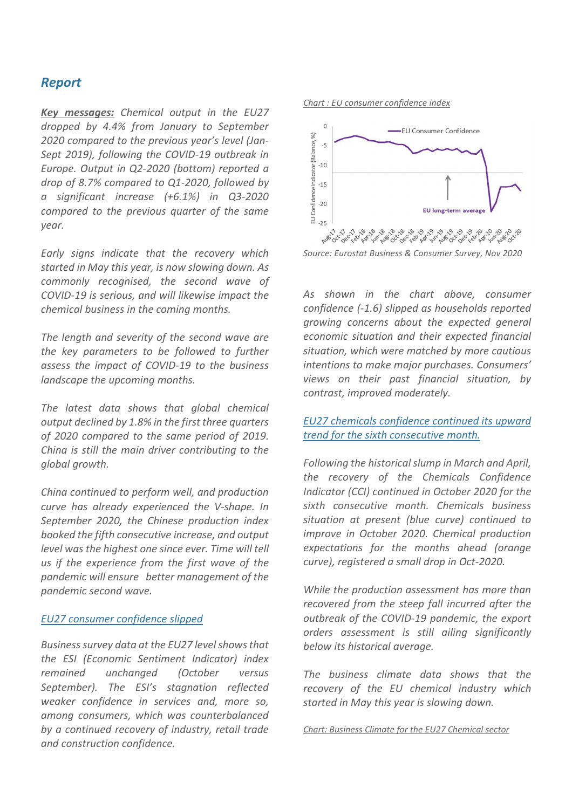# *Report*

*Key messages: Chemical output in the EU27 dropped by 4.4% from January to September 2020 compared to the previous year's level (Jan-Sept 2019), following the COVID-19 outbreak in Europe. Output in Q2-2020 (bottom) reported a drop of 8.7% compared to Q1-2020, followed by a significant increase (+6.1%) in Q3-2020 compared to the previous quarter of the same year.*

*Early signs indicate that the recovery which started in May this year, is now slowing down. As commonly recognised, the second wave of COVID-19 is serious, and will likewise impact the chemical business in the coming months.*

*The length and severity of the second wave are the key parameters to be followed to further assess the impact of COVID-19 to the business landscape the upcoming months.*

*The latest data shows that global chemical output declined by 1.8% in the first three quarters of 2020 compared to the same period of 2019. China is still the main driver contributing to the global growth.*

*China continued to perform well, and production curve has already experienced the V-shape. In September 2020, the Chinese production index booked the fifth consecutive increase, and output level was the highest one since ever. Time will tell us if the experience from the first wave of the pandemic will ensure better management of the pandemic second wave.*

#### *EU27 consumer confidence slipped*

*Businesssurvey data at the EU27 levelshowsthat the ESI (Economic Sentiment Indicator) index remained unchanged (October versus September). The ESI's stagnation reflected weaker confidence in services and, more so, among consumers, which was counterbalanced by a continued recovery of industry, retail trade and construction confidence.*

#### *Chart : EU consumer confidence index*



*Source: Eurostat Business & Consumer Survey, Nov 2020*

*As shown in the chart above, consumer confidence (-1.6) slipped as households reported growing concerns about the expected general economic situation and their expected financial situation, which were matched by more cautious intentions to make major purchases. Consumers' views on their past financial situation, by contrast, improved moderately.*

## *EU27 chemicals confidence continued its upward trend for the sixth consecutive month.*

*Following the historicalslump in March and April, the recovery of the Chemicals Confidence Indicator (CCI) continued in October 2020 for the sixth consecutive month. Chemicals business situation at present (blue curve) continued to improve in October 2020. Chemical production expectations for the months ahead (orange curve), registered a small drop in Oct-2020.*

*While the production assessment has more than recovered from the steep fall incurred after the outbreak of the COVID-19 pandemic, the export orders assessment is still ailing significantly below its historical average.*

*The business climate data shows that the recovery of the EU chemical industry which started in May this year is slowing down.*

*Chart: Business Climate for the EU27 Chemical sector*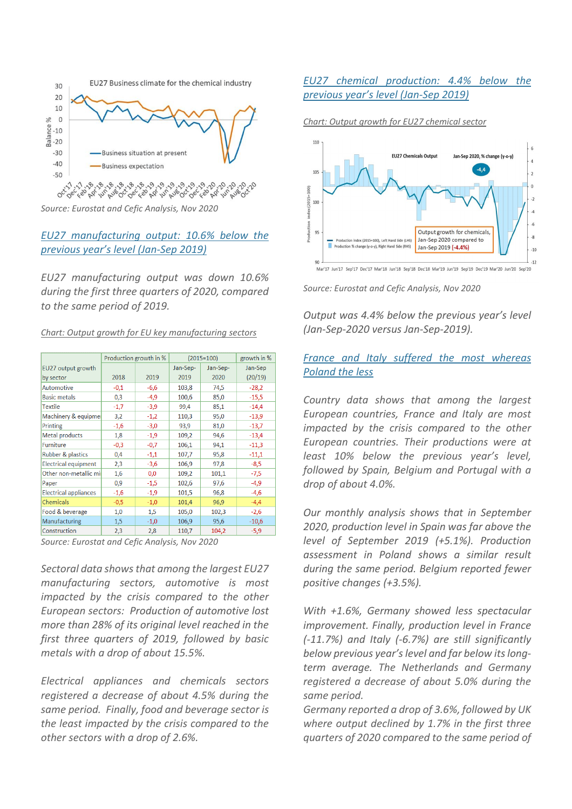

*Source: Eurostat and Cefic Analysis, Nov 2020*

## *EU27 manufacturing output: 10.6% below the previous year's level (Jan-Sep 2019)*

*EU27 manufacturing output was down 10.6% during the first three quarters of 2020, compared to the same period of 2019.*

|  |  |  | Chart: Output growth for EU key manufacturing sectors |  |
|--|--|--|-------------------------------------------------------|--|
|  |  |  |                                                       |  |

| 2018   | 2019   | Jan-Sep- | Jan-Sep- |                                              |
|--------|--------|----------|----------|----------------------------------------------|
|        |        |          |          | Jan-Sep                                      |
|        |        | 2019     | 2020     | (20/19)                                      |
| $-0,1$ | $-6,6$ | 103,8    | 74,5     | $-28,2$                                      |
| 0,3    | $-4,9$ | 100,6    | 85,0     | $-15,5$                                      |
| $-1,7$ | $-3,9$ | 99,4     | 85,1     | $-14,4$                                      |
| 3,2    | $-1,2$ | 110,3    | 95,0     | $-13,9$                                      |
| $-1,6$ | $-3,0$ | 93,9     | 81,0     | $-13,7$                                      |
| 1,8    | $-1,9$ | 109,2    | 94,6     | $-13,4$                                      |
| $-0,3$ | $-0,7$ | 106,1    | 94,1     | $-11,3$                                      |
| 0,4    | $-1,1$ | 107,7    | 95,8     | $-11,1$                                      |
| 2,3    | $-3,6$ | 106,9    | 97,8     | $-8,5$                                       |
| 1,6    | 0,0    | 109,2    | 101,1    | $-7,5$                                       |
| 0,9    | $-1,5$ | 102,6    | 97,6     | $-4,9$                                       |
| $-1,6$ | $-1,9$ | 101,5    | 96,8     | $-4,6$                                       |
| $-0,5$ | $-1,0$ | 101,4    | 96,9     | $-4,4$                                       |
| 1,0    | 1,5    | 105,0    | 102,3    | $-2,6$                                       |
| 1,5    | $-1,0$ | 106,9    | 95,6     | $-10,6$                                      |
| 2,3    | 2,8    | 110,7    | 104,2    | $-5,9$                                       |
|        |        |          |          | Course Eurostat and Cofie Apolysis, Nov 2020 |

*Source: Eurostat and Cefic Analysis, Nov 2020*

*Sectoral data showsthat among the largest EU27 manufacturing sectors, automotive is most impacted by the crisis compared to the other European sectors: Production of automotive lost more than 28% of its original level reached in the first three quarters of 2019, followed by basic metals with a drop of about 15.5%.*

*Electrical appliances and chemicals sectors registered a decrease of about 4.5% during the same period. Finally, food and beverage sector is the least impacted by the crisis compared to the other sectors with a drop of 2.6%.*

## *EU27 chemical production: 4.4% below the previous year's level (Jan-Sep 2019)*





*Source: Eurostat and Cefic Analysis, Nov 2020*

*Output was 4.4% below the previous year's level (Jan-Sep-2020 versus Jan-Sep-2019).*

## *France and Italy suffered the most whereas Poland the less*

*Country data shows that among the largest European countries, France and Italy are most impacted by the crisis compared to the other European countries. Their productions were at least 10% below the previous year's level, followed by Spain, Belgium and Portugal with a drop of about 4.0%.*

*Our monthly analysis shows that in September 2020, production level in Spain was far above the level of September 2019 (+5.1%). Production assessment in Poland shows a similar result during the same period. Belgium reported fewer positive changes (+3.5%).*

*With +1.6%, Germany showed less spectacular improvement. Finally, production level in France (-11.7%) and Italy (-6.7%) are still significantly below previous year'slevel and far below itslongterm average. The Netherlands and Germany registered a decrease of about 5.0% during the same period.*

*Germany reported a drop of 3.6%, followed by UK where output declined by 1.7% in the first three quarters of 2020 compared to the same period of*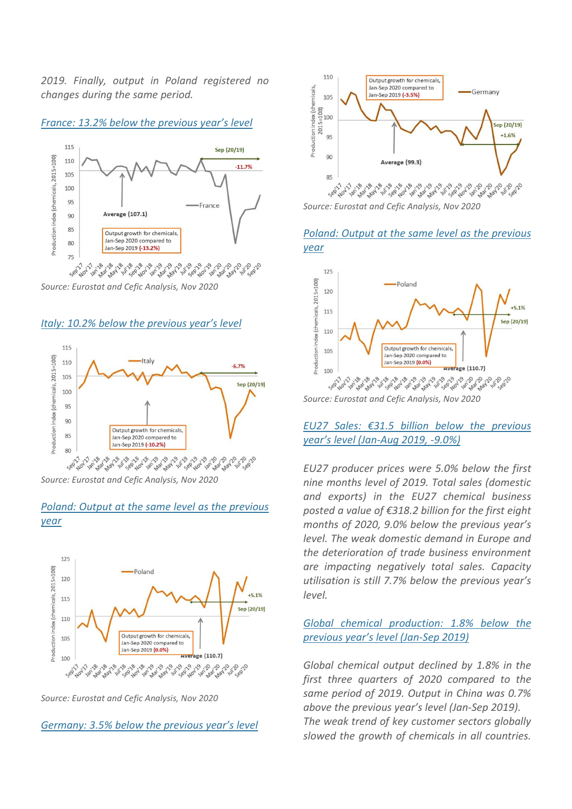*2019. Finally, output in Poland registered no changes during the same period.*





*Source: Eurostat and Cefic Analysis, Nov 2020*

*Italy: 10.2% below the previous year's level*



*Source: Eurostat and Cefic Analysis, Nov 2020*

## *Poland: Output at the same level as the previous year*



*Source: Eurostat and Cefic Analysis, Nov 2020*

*Germany: 3.5% below the previous year's level*



*Source: Eurostat and Cefic Analysis, Nov 2020*

#### *Poland: Output at the same level as the previous year*



#### *EU27 Sales: €31.5 billion below the previous year's level (Jan-Aug 2019, -9.0%)*

*EU27 producer prices were 5.0% below the first nine months level of 2019. Total sales (domestic and exports) in the EU27 chemical business posted a value of €318.2 billion for the first eight months of 2020, 9.0% below the previous year's level. The weak domestic demand in Europe and the deterioration of trade business environment are impacting negatively total sales. Capacity utilisation is still 7.7% below the previous year's level.*

## *Global chemical production: 1.8% below the previous year's level (Jan-Sep 2019)*

*Global chemical output declined by 1.8% in the first three quarters of 2020 compared to the same period of 2019. Output in China was 0.7% above the previous year's level (Jan-Sep 2019). The weak trend of key customer sectors globally slowed the growth of chemicals in all countries.*